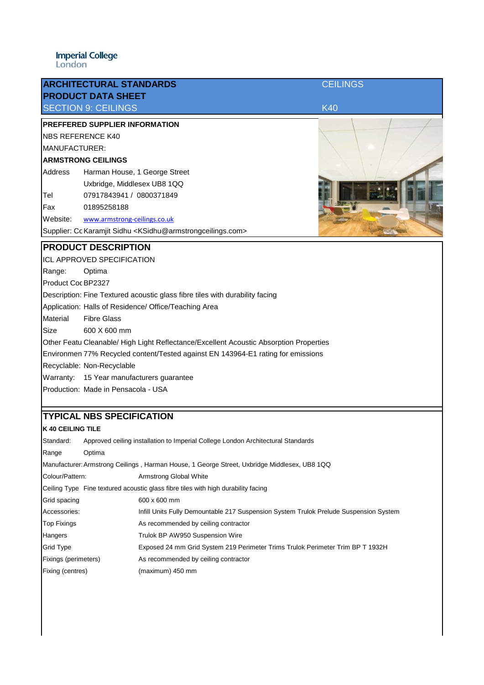|                                                                                        | <b>ARCHITECTURAL STANDARDS</b>                                                            | <b>CEILINGS</b> |  |  |
|----------------------------------------------------------------------------------------|-------------------------------------------------------------------------------------------|-----------------|--|--|
|                                                                                        | <b>PRODUCT DATA SHEET</b><br><b>SECTION 9: CEILINGS</b>                                   | <b>K40</b>      |  |  |
|                                                                                        | PREFFERED SUPPLIER INFORMATION                                                            |                 |  |  |
| <b>NBS REFERENCE K40</b>                                                               |                                                                                           |                 |  |  |
| MANUFACTURER:                                                                          |                                                                                           |                 |  |  |
| <b>ARMSTRONG CEILINGS</b>                                                              |                                                                                           |                 |  |  |
| Address                                                                                | Harman House, 1 George Street                                                             |                 |  |  |
|                                                                                        | Uxbridge, Middlesex UB8 1QQ                                                               |                 |  |  |
| Tel                                                                                    | 07917843941 / 0800371849                                                                  |                 |  |  |
| Fax                                                                                    | 01895258188                                                                               |                 |  |  |
| Website:                                                                               | www.armstrong-ceilings.co.uk                                                              |                 |  |  |
|                                                                                        | Supplier: Cc Karamjit Sidhu <ksidhu@armstrongceilings.com></ksidhu@armstrongceilings.com> |                 |  |  |
| <b>PRODUCT DESCRIPTION</b>                                                             |                                                                                           |                 |  |  |
| <b>ICL APPROVED SPECIFICATION</b>                                                      |                                                                                           |                 |  |  |
| Range:                                                                                 | Optima                                                                                    |                 |  |  |
| Product Coc BP2327                                                                     |                                                                                           |                 |  |  |
| Description: Fine Textured acoustic glass fibre tiles with durability facing           |                                                                                           |                 |  |  |
|                                                                                        | Application: Halls of Residence/ Office/Teaching Area                                     |                 |  |  |
| Material                                                                               | <b>Fibre Glass</b>                                                                        |                 |  |  |
| Size                                                                                   | 600 X 600 mm                                                                              |                 |  |  |
| Other Featu Cleanable/ High Light Reflectance/Excellent Acoustic Absorption Properties |                                                                                           |                 |  |  |
| Environmen 77% Recycled content/Tested against EN 143964-E1 rating for emissions       |                                                                                           |                 |  |  |
|                                                                                        | Recyclable: Non-Recyclable                                                                |                 |  |  |
|                                                                                        | Warranty: 15 Year manufacturers guarantee                                                 |                 |  |  |
|                                                                                        | Production: Made in Pensacola - USA                                                       |                 |  |  |
|                                                                                        | <b>TYPICAL NBS SPECIFICATION</b>                                                          |                 |  |  |
| <b>K 40 CEILING TILE</b>                                                               |                                                                                           |                 |  |  |
| Standard:                                                                              | Approved ceiling installation to Imperial College London Architectural Standards          |                 |  |  |

| ouanaa u.                                                                                    |        | , pproved coming instantation to importan college Edition , tromeotaral citamatures   |  |  |
|----------------------------------------------------------------------------------------------|--------|---------------------------------------------------------------------------------------|--|--|
| Range                                                                                        | Optima |                                                                                       |  |  |
| Manufacturer: Armstrong Ceilings, Harman House, 1 George Street, Uxbridge Middlesex, UB8 1QQ |        |                                                                                       |  |  |
| Colour/Pattern:                                                                              |        | Armstrong Global White                                                                |  |  |
| Ceiling Type Fine textured acoustic glass fibre tiles with high durability facing            |        |                                                                                       |  |  |
| Grid spacing                                                                                 |        | 600 x 600 mm                                                                          |  |  |
| Accessories:                                                                                 |        | Infill Units Fully Demountable 217 Suspension System Trulok Prelude Suspension System |  |  |
| <b>Top Fixings</b>                                                                           |        | As recommended by ceiling contractor                                                  |  |  |
| Hangers                                                                                      |        | Trulok BP AW950 Suspension Wire                                                       |  |  |
| <b>Grid Type</b>                                                                             |        | Exposed 24 mm Grid System 219 Perimeter Trims Trulok Perimeter Trim BP T 1932H        |  |  |
| Fixings (perimeters)                                                                         |        | As recommended by ceiling contractor                                                  |  |  |
| Fixing (centres)                                                                             |        | (maximum) 450 mm                                                                      |  |  |
|                                                                                              |        |                                                                                       |  |  |